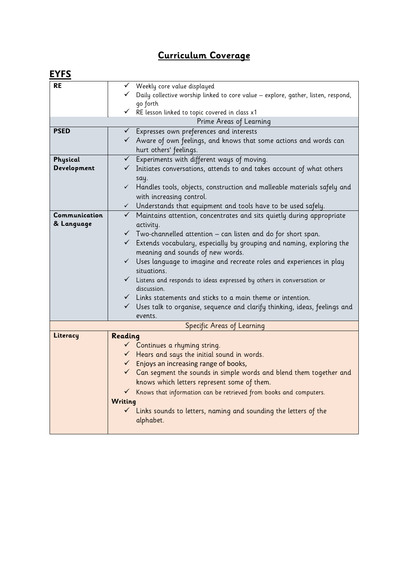## **Curriculum Coverage**

| <b>EYFS</b>                              |                                                                                                                                                                                                                                                                                                                                                                                                                                                                                                                                                                                                       |
|------------------------------------------|-------------------------------------------------------------------------------------------------------------------------------------------------------------------------------------------------------------------------------------------------------------------------------------------------------------------------------------------------------------------------------------------------------------------------------------------------------------------------------------------------------------------------------------------------------------------------------------------------------|
| <b>RE</b>                                | Weekly core value displayed<br>Daily collective worship linked to core value - explore, gather, listen, respond,<br>go forth<br>$\checkmark$ RE lesson linked to topic covered in class x1                                                                                                                                                                                                                                                                                                                                                                                                            |
|                                          | Prime Areas of Learning                                                                                                                                                                                                                                                                                                                                                                                                                                                                                                                                                                               |
| <b>PSED</b>                              | $\checkmark$ Expresses own preferences and interests<br>$\checkmark$ Aware of own feelings, and knows that some actions and words can<br>hurt others' feelings.                                                                                                                                                                                                                                                                                                                                                                                                                                       |
| Physical<br>Development<br>Communication | $\checkmark$ Experiments with different ways of moving.<br>$\checkmark$ Initiates conversations, attends to and takes account of what others<br>say.<br>Handles tools, objects, construction and malleable materials safely and<br>with increasing control.<br>$\checkmark$ Understands that equipment and tools have to be used safely.<br>$\checkmark$ Maintains attention, concentrates and sits quietly during appropriate                                                                                                                                                                        |
| & Language                               | activity.<br>$\checkmark$ Two-channelled attention – can listen and do for short span.<br>$\checkmark$ Extends vocabulary, especially by grouping and naming, exploring the<br>meaning and sounds of new words.<br>$\checkmark$ Uses language to imagine and recreate roles and experiences in play<br>situations.<br>$\checkmark$ Listens and responds to ideas expressed by others in conversation or<br>discussion.<br>$\checkmark$ Links statements and sticks to a main theme or intention.<br>$\checkmark$ Uses talk to organise, sequence and clarify thinking, ideas, feelings and<br>events. |
| Specific Areas of Learning               |                                                                                                                                                                                                                                                                                                                                                                                                                                                                                                                                                                                                       |
| Literacy                                 | Reading<br>$\checkmark$ Continues a rhyming string.<br>$\checkmark$ Hears and says the initial sound in words.<br>$\checkmark$ Enjoys an increasing range of books,<br>$\checkmark$ Can segment the sounds in simple words and blend them together and<br>knows which letters represent some of them.<br>Knows that information can be retrieved from books and computers.<br>$\checkmark$<br>Writing<br>$\checkmark$ Links sounds to letters, naming and sounding the letters of the<br>alphabet.                                                                                                    |